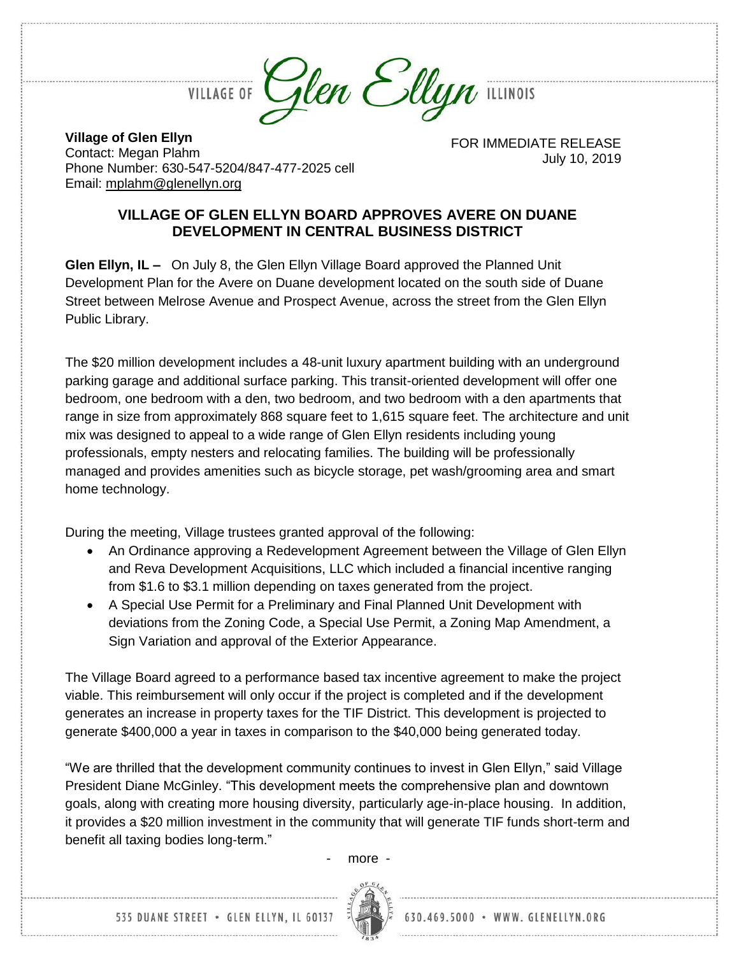

**Village of Glen Ellyn** Contact: Megan Plahm Phone Number: 630-547-5204/847-477-2025 cell Email: [mplahm@glenellyn.org](mailto:mplahm@glenellyn.org)

FOR IMMEDIATE RELEASE July 10, 2019

## **VILLAGE OF GLEN ELLYN BOARD APPROVES AVERE ON DUANE DEVELOPMENT IN CENTRAL BUSINESS DISTRICT**

**Glen Ellyn, IL –** On July 8, the Glen Ellyn Village Board approved the Planned Unit Development Plan for the Avere on Duane development located on the south side of Duane Street between Melrose Avenue and Prospect Avenue, across the street from the Glen Ellyn Public Library.

The \$20 million development includes a 48-unit luxury apartment building with an underground parking garage and additional surface parking. This transit-oriented development will offer one bedroom, one bedroom with a den, two bedroom, and two bedroom with a den apartments that range in size from approximately 868 square feet to 1,615 square feet. The architecture and unit mix was designed to appeal to a wide range of Glen Ellyn residents including young professionals, empty nesters and relocating families. The building will be professionally managed and provides amenities such as bicycle storage, pet wash/grooming area and smart home technology.

During the meeting, Village trustees granted approval of the following:

- An Ordinance approving a Redevelopment Agreement between the Village of Glen Ellyn and Reva Development Acquisitions, LLC which included a financial incentive ranging from \$1.6 to \$3.1 million depending on taxes generated from the project.
- A Special Use Permit for a Preliminary and Final Planned Unit Development with deviations from the Zoning Code, a Special Use Permit, a Zoning Map Amendment, a Sign Variation and approval of the Exterior Appearance.

The Village Board agreed to a performance based tax incentive agreement to make the project viable. This reimbursement will only occur if the project is completed and if the development generates an increase in property taxes for the TIF District. This development is projected to generate \$400,000 a year in taxes in comparison to the \$40,000 being generated today.

"We are thrilled that the development community continues to invest in Glen Ellyn," said Village President Diane McGinley. "This development meets the comprehensive plan and downtown goals, along with creating more housing diversity, particularly age-in-place housing. In addition, it provides a \$20 million investment in the community that will generate TIF funds short-term and benefit all taxing bodies long-term."

- more -